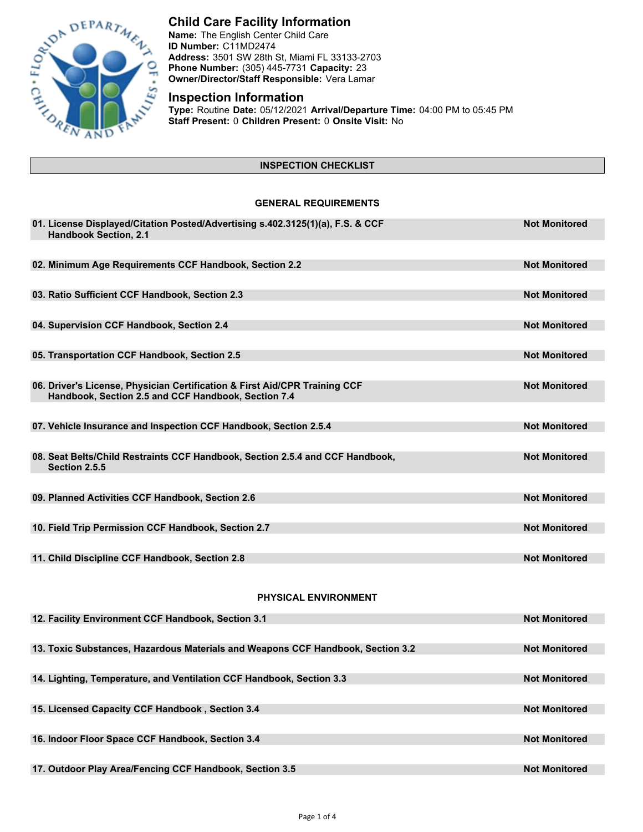

# **Child Care Facility Information**

**Name:** The English Center Child Care **ID Number:** C11MD2474 **Address:** 3501 SW 28th St, Miami FL 33133-2703 **Phone Number:** (305) 445-7731 **Capacity:** 23 **Owner/Director/Staff Responsible:** Vera Lamar

# **Inspection Information**

**Type:** Routine **Date:** 05/12/2021 **Arrival/Departure Time:** 04:00 PM to 05:45 PM **Staff Present:** 0 **Children Present:** 0 **Onsite Visit:** No

## **INSPECTION CHECKLIST**

### **GENERAL REQUIREMENTS**

| <b>Not Monitored</b> |
|----------------------|
|                      |
| <b>Not Monitored</b> |
| <b>Not Monitored</b> |
|                      |
| <b>Not Monitored</b> |
|                      |
| <b>Not Monitored</b> |
| <b>Not Monitored</b> |
|                      |
|                      |
| <b>Not Monitored</b> |
| <b>Not Monitored</b> |
|                      |
| <b>Not Monitored</b> |
|                      |
| <b>Not Monitored</b> |
|                      |
| <b>Not Monitored</b> |
|                      |
|                      |
| <b>Not Monitored</b> |
|                      |
| <b>Not Monitored</b> |
| <b>Not Monitored</b> |
|                      |
| <b>Not Monitored</b> |
|                      |
| <b>Not Monitored</b> |
| <b>Not Monitored</b> |
|                      |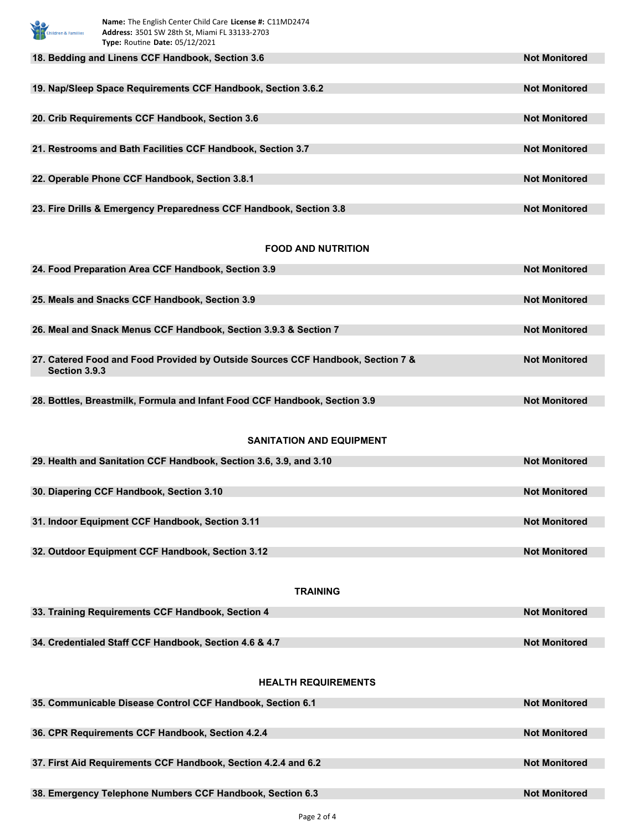| Name: The English Center Child Care License #: C11MD2474<br>hildren & Families<br>Address: 3501 SW 28th St, Miami FL 33133-2703<br>Type: Routine Date: 05/12/2021 |                      |
|-------------------------------------------------------------------------------------------------------------------------------------------------------------------|----------------------|
| 18. Bedding and Linens CCF Handbook, Section 3.6                                                                                                                  | <b>Not Monitored</b> |
| 19. Nap/Sleep Space Requirements CCF Handbook, Section 3.6.2                                                                                                      | <b>Not Monitored</b> |
| 20. Crib Requirements CCF Handbook, Section 3.6                                                                                                                   | <b>Not Monitored</b> |
| 21. Restrooms and Bath Facilities CCF Handbook, Section 3.7                                                                                                       | <b>Not Monitored</b> |
| 22. Operable Phone CCF Handbook, Section 3.8.1                                                                                                                    | <b>Not Monitored</b> |
| 23. Fire Drills & Emergency Preparedness CCF Handbook, Section 3.8                                                                                                | <b>Not Monitored</b> |
| <b>FOOD AND NUTRITION</b>                                                                                                                                         |                      |
| 24. Food Preparation Area CCF Handbook, Section 3.9                                                                                                               | <b>Not Monitored</b> |
|                                                                                                                                                                   |                      |
| 25. Meals and Snacks CCF Handbook, Section 3.9                                                                                                                    | <b>Not Monitored</b> |
| 26. Meal and Snack Menus CCF Handbook, Section 3.9.3 & Section 7                                                                                                  | <b>Not Monitored</b> |
| 27. Catered Food and Food Provided by Outside Sources CCF Handbook, Section 7 &<br>Section 3.9.3                                                                  | <b>Not Monitored</b> |
| 28. Bottles, Breastmilk, Formula and Infant Food CCF Handbook, Section 3.9                                                                                        | <b>Not Monitored</b> |
| <b>SANITATION AND EQUIPMENT</b>                                                                                                                                   |                      |
| 29. Health and Sanitation CCF Handbook, Section 3.6, 3.9, and 3.10                                                                                                | <b>Not Monitored</b> |
|                                                                                                                                                                   |                      |
| 30. Diapering CCF Handbook, Section 3.10                                                                                                                          | <b>Not Monitored</b> |
| 31. Indoor Equipment CCF Handbook, Section 3.11                                                                                                                   | <b>Not Monitored</b> |
|                                                                                                                                                                   |                      |
| 32. Outdoor Equipment CCF Handbook, Section 3.12                                                                                                                  | <b>Not Monitored</b> |
| <b>TRAINING</b>                                                                                                                                                   |                      |
| 33. Training Requirements CCF Handbook, Section 4                                                                                                                 | <b>Not Monitored</b> |
| 34. Credentialed Staff CCF Handbook, Section 4.6 & 4.7                                                                                                            | <b>Not Monitored</b> |
|                                                                                                                                                                   |                      |
| <b>HEALTH REQUIREMENTS</b>                                                                                                                                        |                      |
| 35. Communicable Disease Control CCF Handbook, Section 6.1                                                                                                        | <b>Not Monitored</b> |
| 36. CPR Requirements CCF Handbook, Section 4.2.4                                                                                                                  | <b>Not Monitored</b> |
|                                                                                                                                                                   |                      |
| 37. First Aid Requirements CCF Handbook, Section 4.2.4 and 6.2                                                                                                    | <b>Not Monitored</b> |
| 38. Emergency Telephone Numbers CCF Handbook, Section 6.3                                                                                                         | <b>Not Monitored</b> |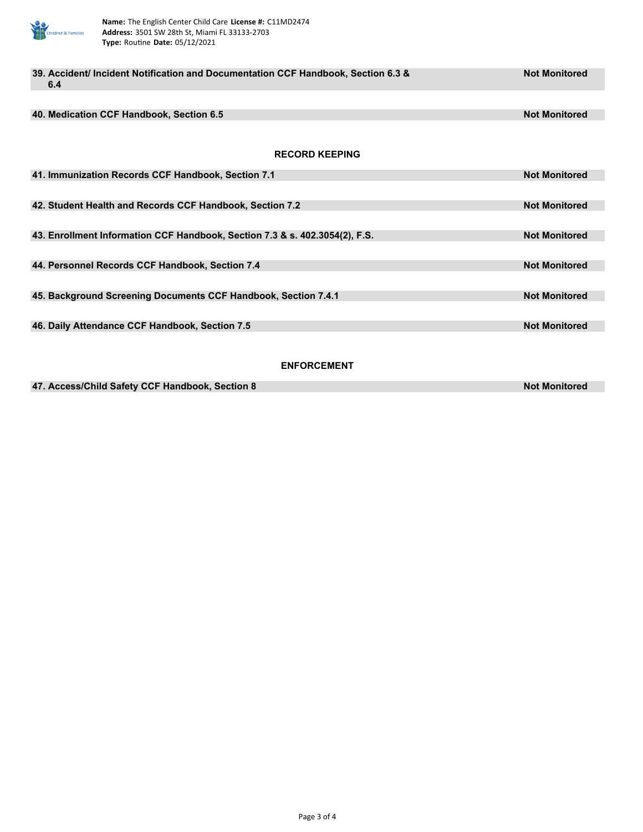

| 39. Accident/ Incident Notification and Documentation CCF Handbook, Section 6.3 &<br>6.4 | <b>Not Monitored</b> |  |
|------------------------------------------------------------------------------------------|----------------------|--|
|                                                                                          |                      |  |
| 40. Medication CCF Handbook, Section 6.5                                                 | <b>Not Monitored</b> |  |
|                                                                                          |                      |  |
| <b>RECORD KEEPING</b>                                                                    |                      |  |
| 41. Immunization Records CCF Handbook, Section 7.1                                       | <b>Not Monitored</b> |  |
|                                                                                          |                      |  |
| 42. Student Health and Records CCF Handbook, Section 7.2                                 | <b>Not Monitored</b> |  |
|                                                                                          |                      |  |
| 43. Enrollment Information CCF Handbook, Section 7.3 & s. 402.3054(2), F.S.              | <b>Not Monitored</b> |  |
|                                                                                          |                      |  |
| 44. Personnel Records CCF Handbook, Section 7.4                                          | <b>Not Monitored</b> |  |
|                                                                                          |                      |  |
| 45. Background Screening Documents CCF Handbook, Section 7.4.1                           | <b>Not Monitored</b> |  |
|                                                                                          |                      |  |
| 46. Daily Attendance CCF Handbook, Section 7.5                                           | <b>Not Monitored</b> |  |
|                                                                                          |                      |  |
| <b>ENFORCEMENT</b>                                                                       |                      |  |
| 47. Access/Child Safety CCF Handbook, Section 8                                          | <b>Not Monitored</b> |  |